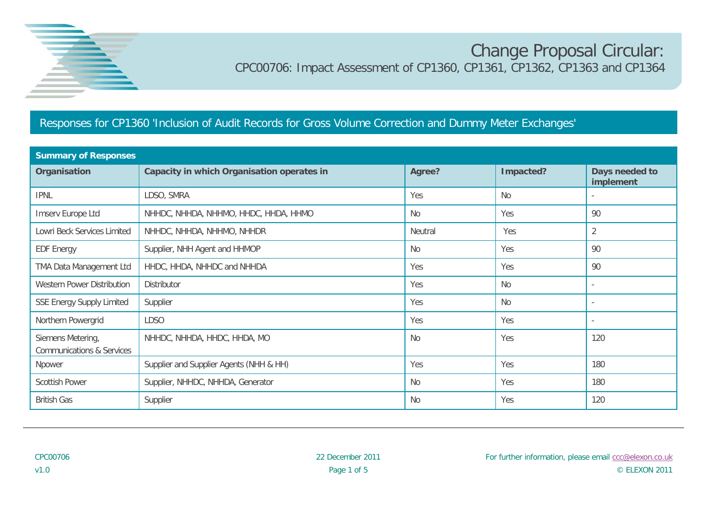

## Change Proposal Circular: CPC00706: Impact Assessment of CP1360, CP1361, CP1362, CP1363 and CP1364

## Responses for CP1360 'Inclusion of Audit Records for Gross Volume Correction and Dummy Meter Exchanges'

| <b>Summary of Responses</b>                               |                                            |           |           |                             |  |
|-----------------------------------------------------------|--------------------------------------------|-----------|-----------|-----------------------------|--|
| Organisation                                              | Capacity in which Organisation operates in | Agree?    | Impacted? | Days needed to<br>implement |  |
| <b>IPNL</b>                                               | LDSO, SMRA                                 | Yes       | <b>No</b> |                             |  |
| Imserv Europe Ltd                                         | NHHDC, NHHDA, NHHMO, HHDC, HHDA, HHMO      | <b>No</b> | Yes       | 90                          |  |
| Lowri Beck Services Limited                               | NHHDC, NHHDA, NHHMO, NHHDR                 | Neutral   | Yes       | $\overline{2}$              |  |
| <b>EDF Energy</b>                                         | Supplier, NHH Agent and HHMOP              | <b>No</b> | Yes       | 90                          |  |
| TMA Data Management Ltd                                   | HHDC, HHDA, NHHDC and NHHDA                | Yes       | Yes       | 90                          |  |
| <b>Western Power Distribution</b>                         | Distributor                                | Yes       | <b>No</b> |                             |  |
| <b>SSE Energy Supply Limited</b>                          | Supplier                                   | Yes       | <b>No</b> | $\sim$                      |  |
| Northern Powergrid                                        | <b>LDSO</b>                                | Yes       | Yes       |                             |  |
| Siemens Metering,<br><b>Communications &amp; Services</b> | NHHDC, NHHDA, HHDC, HHDA, MO               | <b>No</b> | Yes       | 120                         |  |
| Npower                                                    | Supplier and Supplier Agents (NHH & HH)    | Yes       | Yes       | 180                         |  |
| <b>Scottish Power</b>                                     | Supplier, NHHDC, NHHDA, Generator          | No.       | Yes       | 180                         |  |
| <b>British Gas</b>                                        | Supplier                                   | No.       | Yes       | 120                         |  |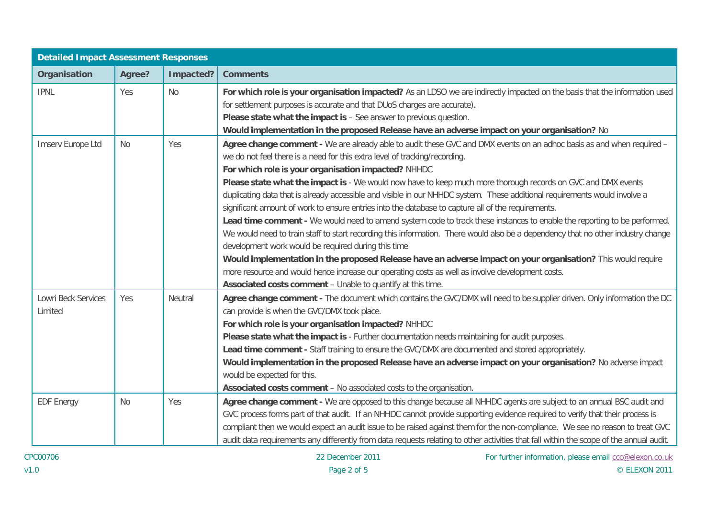| <b>Detailed Impact Assessment Responses</b> |           |           |                                                                                                                                                                                                                                                                                                                                                                                                                                                                                                                                                                                                                                                                                                                                                                                                                                                                                                                                                                                                                                                                                                                                                                                                                          |
|---------------------------------------------|-----------|-----------|--------------------------------------------------------------------------------------------------------------------------------------------------------------------------------------------------------------------------------------------------------------------------------------------------------------------------------------------------------------------------------------------------------------------------------------------------------------------------------------------------------------------------------------------------------------------------------------------------------------------------------------------------------------------------------------------------------------------------------------------------------------------------------------------------------------------------------------------------------------------------------------------------------------------------------------------------------------------------------------------------------------------------------------------------------------------------------------------------------------------------------------------------------------------------------------------------------------------------|
| Organisation                                | Agree?    | Impacted? | <b>Comments</b>                                                                                                                                                                                                                                                                                                                                                                                                                                                                                                                                                                                                                                                                                                                                                                                                                                                                                                                                                                                                                                                                                                                                                                                                          |
| <b>IPNL</b>                                 | Yes       | <b>No</b> | For which role is your organisation impacted? As an LDSO we are indirectly impacted on the basis that the information used<br>for settlement purposes is accurate and that DUoS charges are accurate).<br>Please state what the impact is - See answer to previous question.<br>Would implementation in the proposed Release have an adverse impact on your organisation? No                                                                                                                                                                                                                                                                                                                                                                                                                                                                                                                                                                                                                                                                                                                                                                                                                                             |
| Imserv Europe Ltd                           | <b>No</b> | Yes       | Agree change comment - We are already able to audit these GVC and DMX events on an adhoc basis as and when required -<br>we do not feel there is a need for this extra level of tracking/recording.<br>For which role is your organisation impacted? NHHDC<br>Please state what the impact is - We would now have to keep much more thorough records on GVC and DMX events<br>duplicating data that is already accessible and visible in our NHHDC system. These additional requirements would involve a<br>significant amount of work to ensure entries into the database to capture all of the requirements.<br>Lead time comment - We would need to amend system code to track these instances to enable the reporting to be performed.<br>We would need to train staff to start recording this information. There would also be a dependency that no other industry change<br>development work would be required during this time<br>Would implementation in the proposed Release have an adverse impact on your organisation? This would require<br>more resource and would hence increase our operating costs as well as involve development costs.<br>Associated costs comment - Unable to quantify at this time. |
| Lowri Beck Services<br>Limited              | Yes       | Neutral   | Agree change comment - The document which contains the GVC/DMX will need to be supplier driven. Only information the DC<br>can provide is when the GVC/DMX took place.<br>For which role is your organisation impacted? NHHDC<br>Please state what the impact is - Further documentation needs maintaining for audit purposes.<br>Lead time comment - Staff training to ensure the GVC/DMX are documented and stored appropriately.<br>Would implementation in the proposed Release have an adverse impact on your organisation? No adverse impact<br>would be expected for this.<br>Associated costs comment - No associated costs to the organisation.                                                                                                                                                                                                                                                                                                                                                                                                                                                                                                                                                                 |
| <b>EDF Energy</b>                           | <b>No</b> | Yes       | Agree change comment - We are opposed to this change because all NHHDC agents are subject to an annual BSC audit and<br>GVC process forms part of that audit. If an NHHDC cannot provide supporting evidence required to verify that their process is<br>compliant then we would expect an audit issue to be raised against them for the non-compliance. We see no reason to treat GVC<br>audit data requirements any differently from data requests relating to other activities that fall within the scope of the annual audit.                                                                                                                                                                                                                                                                                                                                                                                                                                                                                                                                                                                                                                                                                        |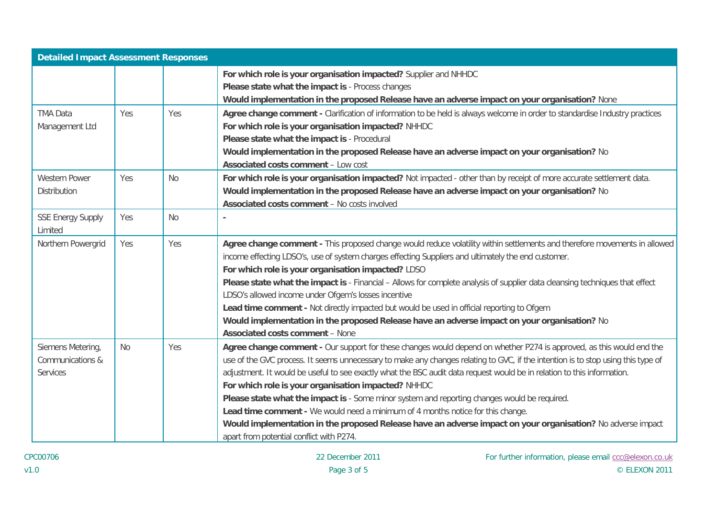| <b>Detailed Impact Assessment Responses</b> |            |           |                                                                                                                                  |  |
|---------------------------------------------|------------|-----------|----------------------------------------------------------------------------------------------------------------------------------|--|
|                                             |            |           | For which role is your organisation impacted? Supplier and NHHDC                                                                 |  |
|                                             |            |           | Please state what the impact is - Process changes                                                                                |  |
|                                             |            |           | Would implementation in the proposed Release have an adverse impact on your organisation? None                                   |  |
| <b>TMA Data</b>                             | <b>Yes</b> | Yes       | Agree change comment - Clarification of information to be held is always welcome in order to standardise Industry practices      |  |
| Management Ltd                              |            |           | For which role is your organisation impacted? NHHDC                                                                              |  |
|                                             |            |           | Please state what the impact is - Procedural                                                                                     |  |
|                                             |            |           | Would implementation in the proposed Release have an adverse impact on your organisation? No                                     |  |
|                                             |            |           | <b>Associated costs comment - Low cost</b>                                                                                       |  |
| <b>Western Power</b>                        | Yes        | <b>No</b> | For which role is your organisation impacted? Not impacted - other than by receipt of more accurate settlement data.             |  |
| <b>Distribution</b>                         |            |           | Would implementation in the proposed Release have an adverse impact on your organisation? No                                     |  |
|                                             |            |           | <b>Associated costs comment - No costs involved</b>                                                                              |  |
| <b>SSE Energy Supply</b>                    | Yes        | <b>No</b> |                                                                                                                                  |  |
| Limited                                     |            |           |                                                                                                                                  |  |
| Northern Powergrid                          | Yes        | Yes       | Agree change comment - This proposed change would reduce volatility within settlements and therefore movements in allowed        |  |
|                                             |            |           | income effecting LDSO's, use of system charges effecting Suppliers and ultimately the end customer.                              |  |
|                                             |            |           | For which role is your organisation impacted? LDSO                                                                               |  |
|                                             |            |           | Please state what the impact is - Financial - Allows for complete analysis of supplier data cleansing techniques that effect     |  |
|                                             |            |           | LDSO's allowed income under Ofgem's losses incentive                                                                             |  |
|                                             |            |           | Lead time comment - Not directly impacted but would be used in official reporting to Ofgem                                       |  |
|                                             |            |           | Would implementation in the proposed Release have an adverse impact on your organisation? No                                     |  |
|                                             |            |           | <b>Associated costs comment - None</b>                                                                                           |  |
| Siemens Metering,                           | <b>No</b>  | Yes       | Agree change comment - Our support for these changes would depend on whether P274 is approved, as this would end the             |  |
| Communications &                            |            |           | use of the GVC process. It seems unnecessary to make any changes relating to GVC, if the intention is to stop using this type of |  |
| <b>Services</b>                             |            |           | adjustment. It would be useful to see exactly what the BSC audit data request would be in relation to this information.          |  |
|                                             |            |           | For which role is your organisation impacted? NHHDC                                                                              |  |
|                                             |            |           | Please state what the impact is - Some minor system and reporting changes would be required.                                     |  |
|                                             |            |           | Lead time comment - We would need a minimum of 4 months notice for this change.                                                  |  |
|                                             |            |           | Would implementation in the proposed Release have an adverse impact on your organisation? No adverse impact                      |  |
|                                             |            |           | apart from potential conflict with P274.                                                                                         |  |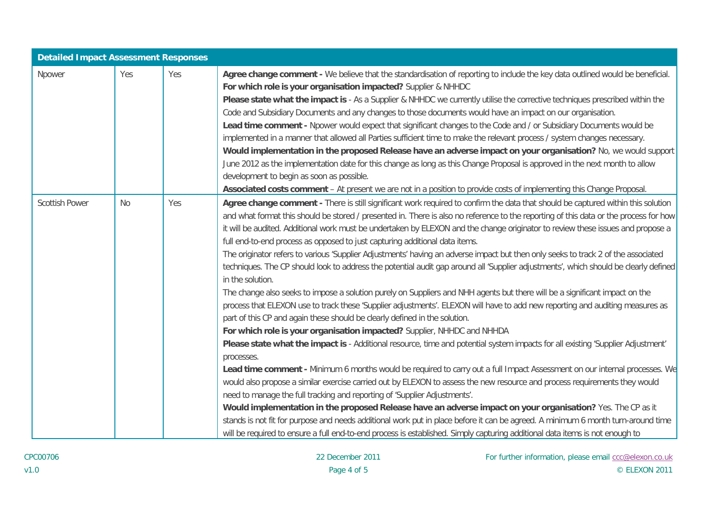| <b>Detailed Impact Assessment Responses</b> |           |     |                                                                                                                                                                                                                                                                                                                                                                                                                                                                                                                                                                                                                                                                                                                                                                                                                                                                                                                                                                                                                                                                                                                                                                                                                                                                                                                                                                                                                                                                                                                                                                                                                                                                                                                                                                                                                                                                                                                                                                                                                                                                                                    |
|---------------------------------------------|-----------|-----|----------------------------------------------------------------------------------------------------------------------------------------------------------------------------------------------------------------------------------------------------------------------------------------------------------------------------------------------------------------------------------------------------------------------------------------------------------------------------------------------------------------------------------------------------------------------------------------------------------------------------------------------------------------------------------------------------------------------------------------------------------------------------------------------------------------------------------------------------------------------------------------------------------------------------------------------------------------------------------------------------------------------------------------------------------------------------------------------------------------------------------------------------------------------------------------------------------------------------------------------------------------------------------------------------------------------------------------------------------------------------------------------------------------------------------------------------------------------------------------------------------------------------------------------------------------------------------------------------------------------------------------------------------------------------------------------------------------------------------------------------------------------------------------------------------------------------------------------------------------------------------------------------------------------------------------------------------------------------------------------------------------------------------------------------------------------------------------------------|
| Npower                                      | Yes       | Yes | Agree change comment - We believe that the standardisation of reporting to include the key data outlined would be beneficial.<br>For which role is your organisation impacted? Supplier & NHHDC<br>Please state what the impact is - As a Supplier & NHHDC we currently utilise the corrective techniques prescribed within the<br>Code and Subsidiary Documents and any changes to those documents would have an impact on our organisation.<br>Lead time comment - Npower would expect that significant changes to the Code and / or Subsidiary Documents would be<br>implemented in a manner that allowed all Parties sufficient time to make the relevant process / system changes necessary.<br>Would implementation in the proposed Release have an adverse impact on your organisation? No, we would support<br>June 2012 as the implementation date for this change as long as this Change Proposal is approved in the next month to allow<br>development to begin as soon as possible.<br>Associated costs comment - At present we are not in a position to provide costs of implementing this Change Proposal.                                                                                                                                                                                                                                                                                                                                                                                                                                                                                                                                                                                                                                                                                                                                                                                                                                                                                                                                                                           |
| <b>Scottish Power</b>                       | <b>No</b> | Yes | Agree change comment - There is still significant work required to confirm the data that should be captured within this solution<br>and what format this should be stored / presented in. There is also no reference to the reporting of this data or the process for how<br>it will be audited. Additional work must be undertaken by ELEXON and the change originator to review these issues and propose a<br>full end-to-end process as opposed to just capturing additional data items.<br>The originator refers to various 'Supplier Adjustments' having an adverse impact but then only seeks to track 2 of the associated<br>techniques. The CP should look to address the potential audit gap around all 'Supplier adjustments', which should be clearly defined<br>in the solution.<br>The change also seeks to impose a solution purely on Suppliers and NHH agents but there will be a significant impact on the<br>process that ELEXON use to track these 'Supplier adjustments'. ELEXON will have to add new reporting and auditing measures as<br>part of this CP and again these should be clearly defined in the solution.<br>For which role is your organisation impacted? Supplier, NHHDC and NHHDA<br>Please state what the impact is - Additional resource, time and potential system impacts for all existing 'Supplier Adjustment'<br>processes.<br>Lead time comment - Minimum 6 months would be required to carry out a full Impact Assessment on our internal processes. We<br>would also propose a similar exercise carried out by ELEXON to assess the new resource and process requirements they would<br>need to manage the full tracking and reporting of 'Supplier Adjustments'.<br>Would implementation in the proposed Release have an adverse impact on your organisation? Yes. The CP as it<br>stands is not fit for purpose and needs additional work put in place before it can be agreed. A minimum 6 month turn-around time<br>will be required to ensure a full end-to-end process is established. Simply capturing additional data items is not enough to |